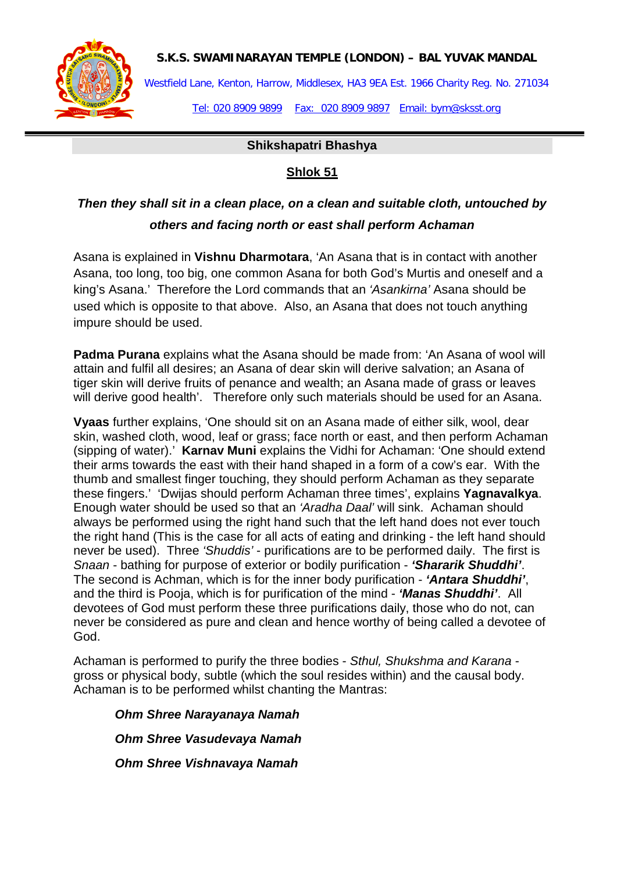

**S.K.S. SWAMINARAYAN TEMPLE (LONDON) – BAL YUVAK MANDAL**

Westfield Lane, Kenton, Harrow, Middlesex, HA3 9EA Est. 1966 Charity Reg. No. 271034 Tel: 020 8909 9899 Fax: 020 8909 9897 Email: bym@sksst.org

**Shikshapatri Bhashya**

### **Shlok 51**

# *Then they shall sit in a clean place, on a clean and suitable cloth, untouched by others and facing north or east shall perform Achaman*

Asana is explained in **Vishnu Dharmotara**, 'An Asana that is in contact with another Asana, too long, too big, one common Asana for both God's Murtis and oneself and a king's Asana.' Therefore the Lord commands that an *'Asankirna'* Asana should be used which is opposite to that above. Also, an Asana that does not touch anything impure should be used.

**Padma Purana** explains what the Asana should be made from: 'An Asana of wool will attain and fulfil all desires; an Asana of dear skin will derive salvation; an Asana of tiger skin will derive fruits of penance and wealth; an Asana made of grass or leaves will derive good health'. Therefore only such materials should be used for an Asana.

**Vyaas** further explains, 'One should sit on an Asana made of either silk, wool, dear skin, washed cloth, wood, leaf or grass; face north or east, and then perform Achaman (sipping of water).' **Karnav Muni** explains the Vidhi for Achaman: 'One should extend their arms towards the east with their hand shaped in a form of a cow's ear. With the thumb and smallest finger touching, they should perform Achaman as they separate these fingers.' 'Dwijas should perform Achaman three times', explains **Yagnavalkya**. Enough water should be used so that an *'Aradha Daal'* will sink. Achaman should always be performed using the right hand such that the left hand does not ever touch the right hand (This is the case for all acts of eating and drinking - the left hand should never be used). Three *'Shuddis'* - purifications are to be performed daily. The first is *Snaan* - bathing for purpose of exterior or bodily purification - *'Shararik Shuddhi'*. The second is Achman, which is for the inner body purification - *'Antara Shuddhi'*, and the third is Pooja, which is for purification of the mind - *'Manas Shuddhi'*. All devotees of God must perform these three purifications daily, those who do not, can never be considered as pure and clean and hence worthy of being called a devotee of God.

Achaman is performed to purify the three bodies - *Sthul, Shukshma and Karana* gross or physical body, subtle (which the soul resides within) and the causal body. Achaman is to be performed whilst chanting the Mantras:

 *Ohm Shree Narayanaya Namah Ohm Shree Vasudevaya Namah Ohm Shree Vishnavaya Namah*